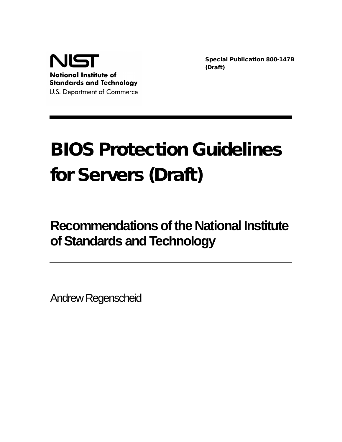

Special Publication 800-147B (Draft)

# BIOS Protection Guidelines for Servers (Draft)

# **Recommendations of the National Institute of Standards and Technology**

Andrew Regenscheid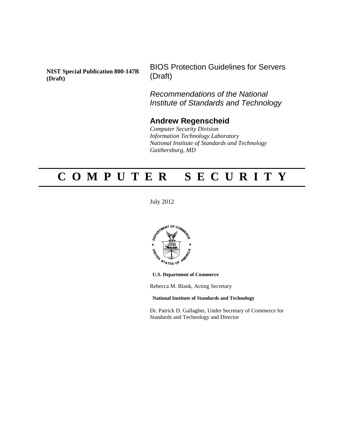**NIST Special Publication 800-147B (Draft)** 

BIOS Protection Guidelines for Servers (Draft)

*Recommendations of the National Institute of Standards and Technology*

#### **Andrew Regenscheid**

*Computer Security Division Information Technology Laboratory National Institute of Standards and Technology Gaithersburg, MD* 

# **C O M P U T E R S E C U R I T Y**

July 2012



**U.S. Department of Commerce**

Rebecca M. Blank, Acting Secretary

**National Institute of Standards and Technology**

Dr. Patrick D. Gallagher, Under Secretary of Commerce for Standards and Technology and Director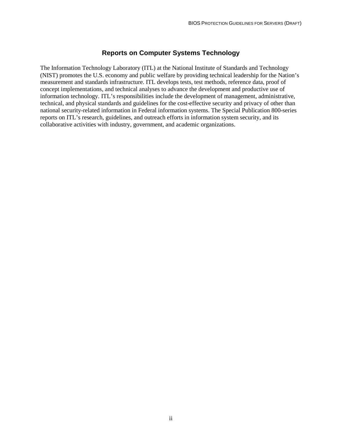#### **Reports on Computer Systems Technology**

The Information Technology Laboratory (ITL) at the National Institute of Standards and Technology (NIST) promotes the U.S. economy and public welfare by providing technical leadership for the Nation's measurement and standards infrastructure. ITL develops tests, test methods, reference data, proof of concept implementations, and technical analyses to advance the development and productive use of information technology. ITL's responsibilities include the development of management, administrative, technical, and physical standards and guidelines for the cost-effective security and privacy of other than national security-related information in Federal information systems. The Special Publication 800-series reports on ITL's research, guidelines, and outreach efforts in information system security, and its collaborative activities with industry, government, and academic organizations.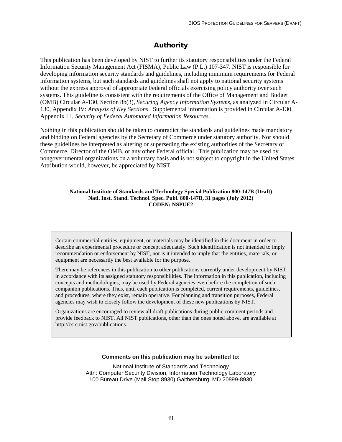### Authority

This publication has been developed by NIST to further its statutory responsibilities under the Federal Information Security Management Act (FISMA), Public Law (P.L.) 107-347. NIST is responsible for developing information security standards and guidelines, including minimum requirements for Federal information systems, but such standards and guidelines shall not apply to national security systems without the express approval of appropriate Federal officials exercising policy authority over such systems. This guideline is consistent with the requirements of the Office of Management and Budget (OMB) Circular A-130, Section 8b(3), *Securing Agency Information Systems*, as analyzed in Circular A-130, Appendix IV: *Analysis of Key Sections*. Supplemental information is provided in Circular A-130, Appendix III, *Security of Federal Automated Information Resources*.

Nothing in this publication should be taken to contradict the standards and guidelines made mandatory and binding on Federal agencies by the Secretary of Commerce under statutory authority. Nor should these guidelines be interpreted as altering or superseding the existing authorities of the Secretary of Commerce, Director of the OMB, or any other Federal official. This publication may be used by nongovernmental organizations on a voluntary basis and is not subject to copyright in the United States. Attribution would, however, be appreciated by NIST.

#### **National Institute of Standards and Technology Special Publication 800-147B (Draft) Natl. Inst. Stand. Technol. Spec. Publ. 800-147B, 31 pages (July 2012) CODEN: NSPUE2**

Certain commercial entities, equipment, or materials may be identified in this document in order to describe an experimental procedure or concept adequately. Such identification is not intended to imply recommendation or endorsement by NIST, nor is it intended to imply that the entities, materials, or equipment are necessarily the best available for the purpose.

There may be references in this publication to other publications currently under development by NIST in accordance with its assigned statutory responsibilities. The information in this publication, including concepts and methodologies, may be used by Federal agencies even before the completion of such companion publications. Thus, until each publication is completed, current requirements, guidelines, and procedures, where they exist, remain operative. For planning and transition purposes, Federal agencies may wish to closely follow the development of these new publications by NIST.

Organizations are encouraged to review all draft publications during public comment periods and provide feedback to NIST. All NIST publications, other than the ones noted above, are available at http://csrc.nist.gov/publications.

#### **Comments on this publication may be submitted to:**

National Institute of Standards and Technology Attn: Computer Security Division, Information Technology Laboratory 100 Bureau Drive (Mail Stop 8930) Gaithersburg, MD 20899-8930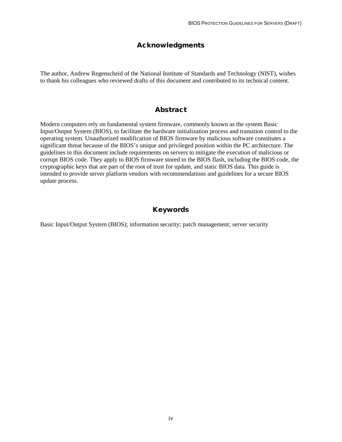#### Acknowledgments

The author, Andrew Regenscheid of the National Institute of Standards and Technology (NIST), wishes to thank his colleagues who reviewed drafts of this document and contributed to its technical content.

#### Abstract

Modern computers rely on fundamental system firmware, commonly known as the system Basic Input/Output System (BIOS), to facilitate the hardware initialization process and transition control to the operating system. Unauthorized modification of BIOS firmware by malicious software constitutes a significant threat because of the BIOS's unique and privileged position within the PC architecture. The guidelines in this document include requirements on servers to mitigate the execution of malicious or corrupt BIOS code. They apply to BIOS firmware stored in the BIOS flash, including the BIOS code, the cryptographic keys that are part of the root of trust for update, and static BIOS data. This guide is intended to provide server platform vendors with recommendations and guidelines for a secure BIOS update process.

#### Keywords

Basic Input/Output System (BIOS); information security; patch management; server security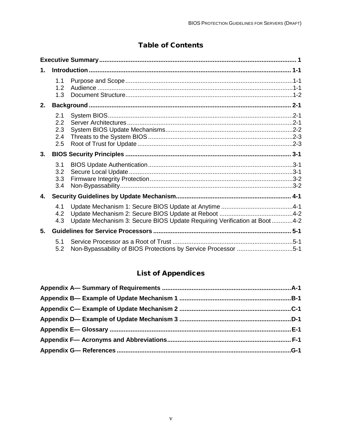### **Table of Contents**

| $\mathbf 1$ |                                 |                                                                           |  |  |  |
|-------------|---------------------------------|---------------------------------------------------------------------------|--|--|--|
|             | 1.1<br>1.2<br>1.3               |                                                                           |  |  |  |
| 2.          |                                 |                                                                           |  |  |  |
|             | 2.1<br>2.2<br>2.3<br>2.4<br>2.5 |                                                                           |  |  |  |
| 3.          |                                 |                                                                           |  |  |  |
|             | 3.1<br>3.2<br>3.3<br>3.4        |                                                                           |  |  |  |
| 4.          |                                 |                                                                           |  |  |  |
|             | 4.1<br>4.2<br>4.3               | Update Mechanism 3: Secure BIOS Update Requiring Verification at Boot 4-2 |  |  |  |
| 5.          |                                 |                                                                           |  |  |  |
|             | 5.1<br>5.2                      | Non-Bypassability of BIOS Protections by Service Processor 5-1            |  |  |  |

# **List of Appendices**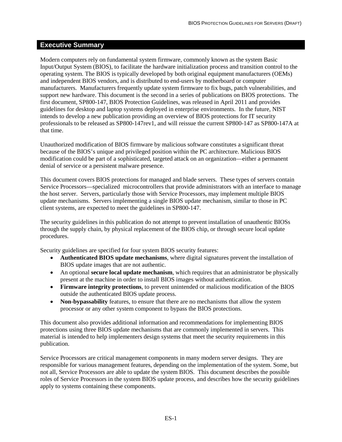#### **Executive Summary**

Modern computers rely on fundamental system firmware, commonly known as the system Basic Input/Output System (BIOS), to facilitate the hardware initialization process and transition control to the operating system. The BIOS is typically developed by both original equipment manufacturers (OEMs) and independent BIOS vendors, and is distributed to end-users by motherboard or computer manufacturers. Manufacturers frequently update system firmware to fix bugs, patch vulnerabilities, and support new hardware. This document is the second in a series of publications on BIOS protections. The first document, SP800-147, BIOS Protection Guidelines, was released in April 2011 and provides guidelines for desktop and laptop systems deployed in enterprise environments. In the future, NIST intends to develop a new publication providing an overview of BIOS protections for IT security professionals to be released as SP800-147rev1, and will reissue the current SP800-147 as SP800-147A at that time.

Unauthorized modification of BIOS firmware by malicious software constitutes a significant threat because of the BIOS's unique and privileged position within the PC architecture. Malicious BIOS modification could be part of a sophisticated, targeted attack on an organization—either a permanent denial of service or a persistent malware presence.

This document covers BIOS protections for managed and blade servers. These types of servers contain Service Processors—specialized microcontrollers that provide administrators with an interface to manage the host server. Servers, particularly those with Service Processors, may implement multiple BIOS update mechanisms. Servers implementing a single BIOS update mechanism, similar to those in PC client systems, are expected to meet the guidelines in SP800-147.

The security guidelines in this publication do not attempt to prevent installation of unauthentic BIOSs through the supply chain, by physical replacement of the BIOS chip, or through secure local update procedures.

Security guidelines are specified for four system BIOS security features:

- **Authenticated BIOS update mechanisms**, where digital signatures prevent the installation of BIOS update images that are not authentic.
- An optional **secure local update mechanism**, which requires that an administrator be physically present at the machine in order to install BIOS images without authentication.
- **Firmware integrity protections**, to prevent unintended or malicious modification of the BIOS outside the authenticated BIOS update process.
- **Non-bypassability** features, to ensure that there are no mechanisms that allow the system processor or any other system component to bypass the BIOS protections.

This document also provides additional information and recommendations for implementing BIOS protections using three BIOS update mechanisms that are commonly implemented in servers. This material is intended to help implementers design systems that meet the security requirements in this publication.

Service Processors are critical management components in many modern server designs. They are responsible for various management features, depending on the implementation of the system. Some, but not all, Service Processors are able to update the system BIOS. This document describes the possible roles of Service Processors in the system BIOS update process, and describes how the security guidelines apply to systems containing these components.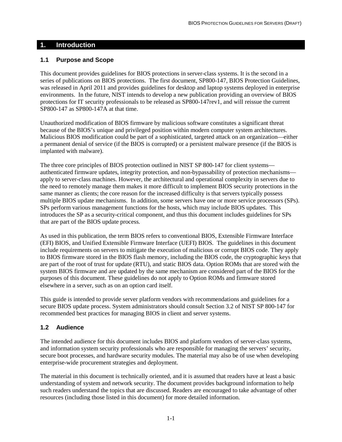#### **1. Introduction**

#### **1.1 Purpose and Scope**

This document provides guidelines for BIOS protections in server-class systems. It is the second in a series of publications on BIOS protections. The first document, SP800-147, BIOS Protection Guidelines, was released in April 2011 and provides guidelines for desktop and laptop systems deployed in enterprise environments. In the future, NIST intends to develop a new publication providing an overview of BIOS protections for IT security professionals to be released as SP800-147rev1, and will reissue the current SP800-147 as SP800-147A at that time.

Unauthorized modification of BIOS firmware by malicious software constitutes a significant threat because of the BIOS's unique and privileged position within modern computer system architectures. Malicious BIOS modification could be part of a sophisticated, targeted attack on an organization—either a permanent denial of service (if the BIOS is corrupted) or a persistent malware presence (if the BIOS is implanted with malware).

The three core principles of BIOS protection outlined in NIST SP 800-147 for client systems authenticated firmware updates, integrity protection, and non-bypassability of protection mechanisms apply to server-class machines. However, the architectural and operational complexity in servers due to the need to remotely manage them makes it more difficult to implement BIOS security protections in the same manner as clients; the core reason for the increased difficulty is that servers typically possess multiple BIOS update mechanisms. In addition, some servers have one or more service processors (SPs). SPs perform various management functions for the hosts, which may include BIOS updates. This introduces the SP as a security-critical component, and thus this document includes guidelines for SPs that are part of the BIOS update process.

As used in this publication, the term BIOS refers to conventional BIOS, Extensible Firmware Interface (EFI) BIOS, and Unified Extensible Firmware Interface (UEFI) BIOS*.* The guidelines in this document include requirements on servers to mitigate the execution of malicious or corrupt BIOS code. They apply to BIOS firmware stored in the BIOS flash memory, including the BIOS code, the cryptographic keys that are part of the root of trust for update (RTU), and static BIOS data. Option ROMs that are stored with the system BIOS firmware and are updated by the same mechanism are considered part of the BIOS for the purposes of this document. These guidelines do not apply to Option ROMs and firmware stored elsewhere in a server, such as on an option card itself.

This guide is intended to provide server platform vendors with recommendations and guidelines for a secure BIOS update process. System administrators should consult Section 3.2 of NIST SP 800-147 for recommended best practices for managing BIOS in client and server systems.

#### **1.2 Audience**

The intended audience for this document includes BIOS and platform vendors of server-class systems, and information system security professionals who are responsible for managing the servers' security, secure boot processes, and hardware security modules. The material may also be of use when developing enterprise-wide procurement strategies and deployment.

The material in this document is technically oriented, and it is assumed that readers have at least a basic understanding of system and network security. The document provides background information to help such readers understand the topics that are discussed. Readers are encouraged to take advantage of other resources (including those listed in this document) for more detailed information.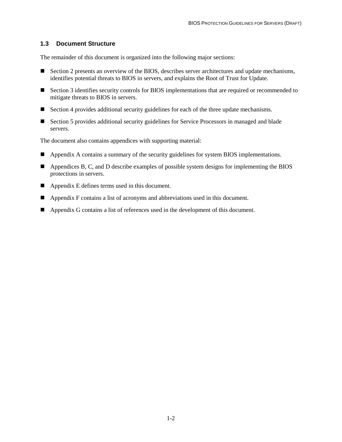#### **1.3 Document Structure**

The remainder of this document is organized into the following major sections:

- Section 2 presents an overview of the BIOS, describes server architectures and update mechanisms, identifies potential threats to BIOS in servers, and explains the Root of Trust for Update.
- Section 3 identifies security controls for BIOS implementations that are required or recommended to mitigate threats to BIOS in servers.
- Section 4 provides additional security guidelines for each of the three update mechanisms.
- Section 5 provides additional security guidelines for Service Processors in managed and blade servers.

The document also contains appendices with supporting material:

- Appendix A contains a summary of the security guidelines for system BIOS implementations.
- **Appendices B, C, and D describe examples of possible system designs for implementing the BIOS** protections in servers.
- $\blacksquare$  Appendix E defines terms used in this document.
- Appendix F contains a list of acronyms and abbreviations used in this document.
- Appendix G contains a list of references used in the development of this document.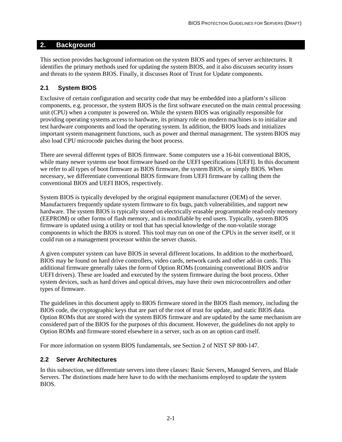#### **2. Background**

This section provides background information on the system BIOS and types of server architectures. It identifies the primary methods used for updating the system BIOS, and it also discusses security issues and threats to the system BIOS. Finally, it discusses Root of Trust for Update components.

#### **2.1 System BIOS**

Exclusive of certain configuration and security code that may be embedded into a platform's silicon components, e.g. processor, the system BIOS is the first software executed on the main central processing unit (CPU) when a computer is powered on. While the system BIOS was originally responsible for providing operating systems access to hardware, its primary role on modern machines is to initialize and test hardware components and load the operating system. In addition, the BIOS loads and initializes important system management functions, such as power and thermal management. The system BIOS may also load CPU microcode patches during the boot process.

There are several different types of BIOS firmware. Some computers use a 16-bit conventional BIOS, while many newer systems use boot firmware based on the UEFI specifications [UEFI]. In this document we refer to all types of boot firmware as BIOS firmware, the system BIOS, or simply BIOS. When necessary, we differentiate conventional BIOS firmware from UEFI firmware by calling them the conventional BIOS and UEFI BIOS, respectively.

System BIOS is typically developed by the original equipment manufacturer (OEM) of the server. Manufacturers frequently update system firmware to fix bugs, patch vulnerabilities, and support new hardware. The system BIOS is typically stored on electrically erasable programmable read-only memory (EEPROM) or other forms of flash memory, and is modifiable by end users. Typically, system BIOS firmware is updated using a utility or tool that has special knowledge of the non-volatile storage components in which the BIOS is stored. This tool may run on one of the CPUs in the server itself, or it could run on a management processor within the server chassis.

A given computer system can have BIOS in several different locations. In addition to the motherboard, BIOS may be found on hard drive controllers, video cards, network cards and other add-in cards. This additional firmware generally takes the form of Option ROMs (containing conventional BIOS and/or UEFI drivers). These are loaded and executed by the system firmware during the boot process. Other system devices, such as hard drives and optical drives, may have their own microcontrollers and other types of firmware.

The guidelines in this document apply to BIOS firmware stored in the BIOS flash memory, including the BIOS code, the cryptographic keys that are part of the root of trust for update, and static BIOS data. Option ROMs that are stored with the system BIOS firmware and are updated by the same mechanism are considered part of the BIOS for the purposes of this document. However, the guidelines do not apply to Option ROMs and firmware stored elsewhere in a server, such as on an option card itself.

For more information on system BIOS fundamentals, see Section 2 of NIST SP 800-147.

#### **2.2 Server Architectures**

In this subsection, we differentiate servers into three classes: Basic Servers, Managed Servers, and Blade Servers. The distinctions made here have to do with the mechanisms employed to update the system BIOS.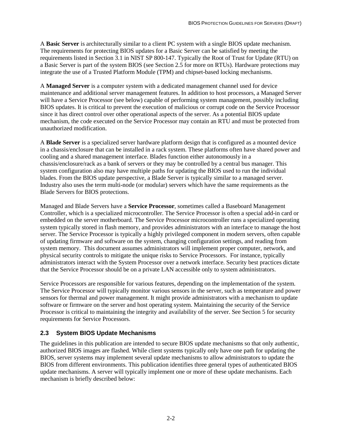A **Basic Server** is architecturally similar to a client PC system with a single BIOS update mechanism. The requirements for protecting BIOS updates for a Basic Server can be satisfied by meeting the requirements listed in Section 3.1 in NIST SP 800-147. Typically the Root of Trust for Update (RTU) on a Basic Server is part of the system BIOS (see Section 2.5 for more on RTUs). Hardware protections may integrate the use of a Trusted Platform Module (TPM) and chipset-based locking mechanisms.

A **Managed Server** is a computer system with a dedicated management channel used for device maintenance and additional server management features. In addition to host processors, a Managed Server will have a Service Processor (see below) capable of performing system management, possibly including BIOS updates. It is critical to prevent the execution of malicious or corrupt code on the Service Processor since it has direct control over other operational aspects of the server. As a potential BIOS update mechanism, the code executed on the Service Processor may contain an RTU and must be protected from unauthorized modification.

A **Blade Server** is a specialized server hardware platform design that is configured as a mounted device in a chassis/enclosure that can be installed in a rack system. These platforms often have shared power and cooling and a shared management interface. Blades function either autonomously in a chassis/enclosure/rack as a bank of servers or they may be controlled by a central bus manager. This system configuration also may have multiple paths for updating the BIOS used to run the individual blades. From the BIOS update perspective, a Blade Server is typically similar to a managed server. Industry also uses the term multi-node (or modular) servers which have the same requirements as the Blade Servers for BIOS protections.

Managed and Blade Servers have a **Service Processor**, sometimes called a Baseboard Management Controller, which is a specialized microcontroller. The Service Processor is often a special add-in card or embedded on the server motherboard. The Service Processor microcontroller runs a specialized operating system typically stored in flash memory, and provides administrators with an interface to manage the host server. The Service Processor is typically a highly privileged component in modern servers, often capable of updating firmware and software on the system, changing configuration settings, and reading from system memory. This document assumes administrators will implement proper computer, network, and physical security controls to mitigate the unique risks to Service Processors. For instance, typically administrators interact with the System Processor over a network interface. Security best practices dictate that the Service Processor should be on a private LAN accessible only to system administrators.

Service Processors are responsible for various features, depending on the implementation of the system. The Service Processor will typically monitor various sensors in the server, such as temperature and power sensors for thermal and power management. It might provide administrators with a mechanism to update software or firmware on the server and host operating system. Maintaining the security of the Service Processor is critical to maintaining the integrity and availability of the server. See Section 5 for security requirements for Service Processors.

#### **2.3 System BIOS Update Mechanisms**

The guidelines in this publication are intended to secure BIOS update mechanisms so that only authentic, authorized BIOS images are flashed. While client systems typically only have one path for updating the BIOS, server systems may implement several update mechanisms to allow administrators to update the BIOS from different environments. This publication identifies three general types of authenticated BIOS update mechanisms. A server will typically implement one or more of these update mechanisms. Each mechanism is briefly described below: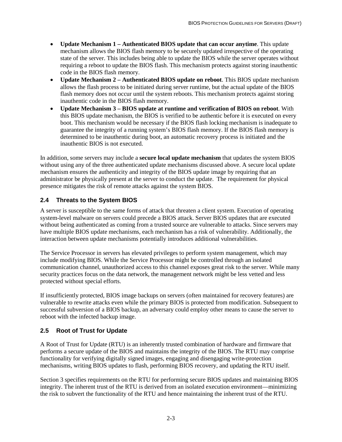- **Update Mechanism 1 – Authenticated BIOS update that can occur anytime**. This update mechanism allows the BIOS flash memory to be securely updated irrespective of the operating state of the server. This includes being able to update the BIOS while the server operates without requiring a reboot to update the BIOS flash. This mechanism protects against storing inauthentic code in the BIOS flash memory.
- **Update Mechanism 2 – Authenticated BIOS update on reboot**. This BIOS update mechanism allows the flash process to be initiated during server runtime, but the actual update of the BIOS flash memory does not occur until the system reboots. This mechanism protects against storing inauthentic code in the BIOS flash memory.
- **Update Mechanism 3 – BIOS update at runtime and verification of BIOS on reboot**. With this BIOS update mechanism, the BIOS is verified to be authentic before it is executed on every boot. This mechanism would be necessary if the BIOS flash locking mechanism is inadequate to guarantee the integrity of a running system's BIOS flash memory. If the BIOS flash memory is determined to be inauthentic during boot, an automatic recovery process is initiated and the inauthentic BIOS is not executed.

In addition, some servers may include a **secure local update mechanism** that updates the system BIOS without using any of the three authenticated update mechanisms discussed above. A secure local update mechanism ensures the authenticity and integrity of the BIOS update image by requiring that an administrator be physically present at the server to conduct the update. The requirement for physical presence mitigates the risk of remote attacks against the system BIOS.

#### **2.4 Threats to the System BIOS**

A server is susceptible to the same forms of attack that threaten a client system. Execution of operating system-level malware on servers could precede a BIOS attack. Server BIOS updates that are executed without being authenticated as coming from a trusted source are vulnerable to attacks. Since servers may have multiple BIOS update mechanisms, each mechanism has a risk of vulnerability. Additionally, the interaction between update mechanisms potentially introduces additional vulnerabilities.

The Service Processor in servers has elevated privileges to perform system management, which may include modifying BIOS. While the Service Processor might be controlled through an isolated communication channel, unauthorized access to this channel exposes great risk to the server. While many security practices focus on the data network, the management network might be less vetted and less protected without special efforts.

If insufficiently protected, BIOS image backups on servers (often maintained for recovery features) are vulnerable to rewrite attacks even while the primary BIOS is protected from modification. Subsequent to successful subversion of a BIOS backup, an adversary could employ other means to cause the server to reboot with the infected backup image.

#### **2.5 Root of Trust for Update**

A Root of Trust for Update (RTU) is an inherently trusted combination of hardware and firmware that performs a secure update of the BIOS and maintains the integrity of the BIOS. The RTU may comprise functionality for verifying digitally signed images, engaging and disengaging write-protection mechanisms, writing BIOS updates to flash, performing BIOS recovery, and updating the RTU itself.

Section 3 specifies requirements on the RTU for performing secure BIOS updates and maintaining BIOS integrity. The inherent trust of the RTU is derived from an isolated execution environment—minimizing the risk to subvert the functionality of the RTU and hence maintaining the inherent trust of the RTU.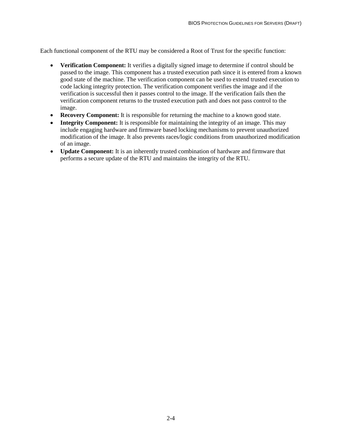Each functional component of the RTU may be considered a Root of Trust for the specific function:

- **Verification Component:** It verifies a digitally signed image to determine if control should be passed to the image. This component has a trusted execution path since it is entered from a known good state of the machine. The verification component can be used to extend trusted execution to code lacking integrity protection. The verification component verifies the image and if the verification is successful then it passes control to the image. If the verification fails then the verification component returns to the trusted execution path and does not pass control to the image.
- **Recovery Component:** It is responsible for returning the machine to a known good state.
- **Integrity Component:** It is responsible for maintaining the integrity of an image. This may include engaging hardware and firmware based locking mechanisms to prevent unauthorized modification of the image. It also prevents races/logic conditions from unauthorized modification of an image.
- **Update Component:** It is an inherently trusted combination of hardware and firmware that performs a secure update of the RTU and maintains the integrity of the RTU.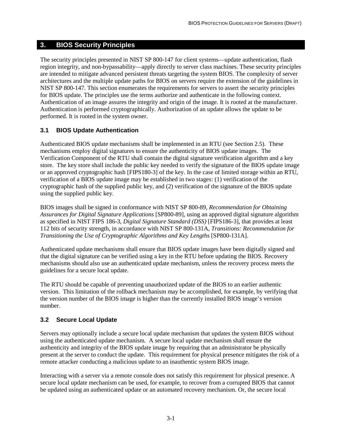#### **3. BIOS Security Principles**

The security principles presented in NIST SP 800-147 for client systems—update authentication, flash region integrity, and non-bypassability—apply directly to server class machines. These security principles are intended to mitigate advanced persistent threats targeting the system BIOS. The complexity of server architectures and the multiple update paths for BIOS on servers require the extension of the guidelines in NIST SP 800-147. This section enumerates the requirements for servers to assert the security principles for BIOS update. The principles use the terms authorize and authenticate in the following context. Authentication of an image assures the integrity and origin of the image. It is rooted at the manufacturer. Authentication is performed cryptographically. Authorization of an update allows the update to be performed. It is rooted in the system owner.

#### **3.1 BIOS Update Authentication**

Authenticated BIOS update mechanisms shall be implemented in an RTU (see Section 2.5). These mechanisms employ digital signatures to ensure the authenticity of BIOS update images. The Verification Component of the RTU shall contain the digital signature verification algorithm and a key store. The key store shall include the public key needed to verify the signature of the BIOS update image or an approved cryptographic hash [FIPS180-3] of the key. In the case of limited storage within an RTU, verification of a BIOS update image may be established in two stages: (1) verification of the cryptographic hash of the supplied public key, and (2) verification of the signature of the BIOS update using the supplied public key.

BIOS images shall be signed in conformance with NIST SP 800-89, *Recommendation for Obtaining Assurances for Digital Signature Applications* [SP800-89], using an approved digital signature algorithm as specified in NIST FIPS 186-3, *Digital Signature Standard (DSS)* [FIPS186-3], that provides at least 112 bits of security strength, in accordance with NIST SP 800-131A, *Transitions: Recommendation for Transitioning the Use of Cryptographic Algorithms and Key Lengths* [SP800-131A].

Authenticated update mechanisms shall ensure that BIOS update images have been digitally signed and that the digital signature can be verified using a key in the RTU before updating the BIOS. Recovery mechanisms should also use an authenticated update mechanism, unless the recovery process meets the guidelines for a secure local update.

The RTU should be capable of preventing unauthorized update of the BIOS to an earlier authentic version. This limitation of the rollback mechanism may be accomplished, for example, by verifying that the version number of the BIOS image is higher than the currently installed BIOS image's version number.

#### **3.2 Secure Local Update**

Servers may optionally include a secure local update mechanism that updates the system BIOS without using the authenticated update mechanism. A secure local update mechanism shall ensure the authenticity and integrity of the BIOS update image by requiring that an administrator be physically present at the server to conduct the update. This requirement for physical presence mitigates the risk of a remote attacker conducting a malicious update to an inauthentic system BIOS image.

Interacting with a server via a remote console does not satisfy this requirement for physical presence. A secure local update mechanism can be used, for example, to recover from a corrupted BIOS that cannot be updated using an authenticated update or an automated recovery mechanism. Or, the secure local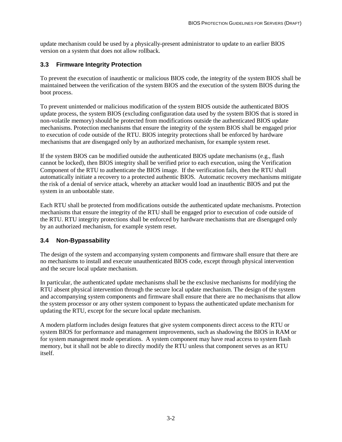update mechanism could be used by a physically-present administrator to update to an earlier BIOS version on a system that does not allow rollback.

#### **3.3 Firmware Integrity Protection**

To prevent the execution of inauthentic or malicious BIOS code, the integrity of the system BIOS shall be maintained between the verification of the system BIOS and the execution of the system BIOS during the boot process.

To prevent unintended or malicious modification of the system BIOS outside the authenticated BIOS update process, the system BIOS (excluding configuration data used by the system BIOS that is stored in non-volatile memory) should be protected from modifications outside the authenticated BIOS update mechanisms. Protection mechanisms that ensure the integrity of the system BIOS shall be engaged prior to execution of code outside of the RTU. BIOS integrity protections shall be enforced by hardware mechanisms that are disengaged only by an authorized mechanism, for example system reset.

If the system BIOS can be modified outside the authenticated BIOS update mechanisms (e.g., flash cannot be locked), then BIOS integrity shall be verified prior to each execution, using the Verification Component of the RTU to authenticate the BIOS image. If the verification fails, then the RTU shall automatically initiate a recovery to a protected authentic BIOS. Automatic recovery mechanisms mitigate the risk of a denial of service attack, whereby an attacker would load an inauthentic BIOS and put the system in an unbootable state.

Each RTU shall be protected from modifications outside the authenticated update mechanisms. Protection mechanisms that ensure the integrity of the RTU shall be engaged prior to execution of code outside of the RTU. RTU integrity protections shall be enforced by hardware mechanisms that are disengaged only by an authorized mechanism, for example system reset.

#### **3.4 Non-Bypassability**

The design of the system and accompanying system components and firmware shall ensure that there are no mechanisms to install and execute unauthenticated BIOS code, except through physical intervention and the secure local update mechanism.

In particular, the authenticated update mechanisms shall be the exclusive mechanisms for modifying the RTU absent physical intervention through the secure local update mechanism. The design of the system and accompanying system components and firmware shall ensure that there are no mechanisms that allow the system processor or any other system component to bypass the authenticated update mechanism for updating the RTU, except for the secure local update mechanism.

A modern platform includes design features that give system components direct access to the RTU or system BIOS for performance and management improvements, such as shadowing the BIOS in RAM or for system management mode operations. A system component may have read access to system flash memory, but it shall not be able to directly modify the RTU unless that component serves as an RTU itself.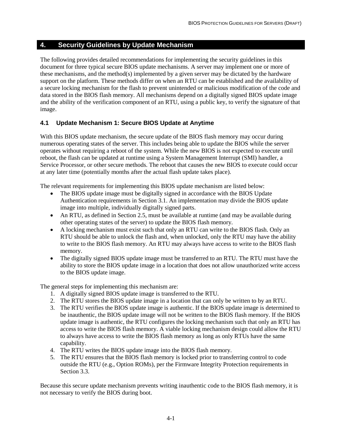#### **4. Security Guidelines by Update Mechanism**

The following provides detailed recommendations for implementing the security guidelines in this document for three typical secure BIOS update mechanisms. A server may implement one or more of these mechanisms, and the method(s) implemented by a given server may be dictated by the hardware support on the platform. These methods differ on when an RTU can be established and the availability of a secure locking mechanism for the flash to prevent unintended or malicious modification of the code and data stored in the BIOS flash memory. All mechanisms depend on a digitally signed BIOS update image and the ability of the verification component of an RTU, using a public key, to verify the signature of that image.

#### **4.1 Update Mechanism 1: Secure BIOS Update at Anytime**

With this BIOS update mechanism, the secure update of the BIOS flash memory may occur during numerous operating states of the server. This includes being able to update the BIOS while the server operates without requiring a reboot of the system. While the new BIOS is not expected to execute until reboot, the flash can be updated at runtime using a System Management Interrupt (SMI) handler, a Service Processor, or other secure methods. The reboot that causes the new BIOS to execute could occur at any later time (potentially months after the actual flash update takes place).

The relevant requirements for implementing this BIOS update mechanism are listed below:

- The BIOS update image must be digitally signed in accordance with the BIOS Update Authentication requirements in Section 3.1. An implementation may divide the BIOS update image into multiple, individually digitally signed parts.
- An RTU, as defined in Section 2.5, must be available at runtime (and may be available during other operating states of the server) to update the BIOS flash memory.
- A locking mechanism must exist such that only an RTU can write to the BIOS flash. Only an RTU should be able to unlock the flash and, when unlocked, only the RTU may have the ability to write to the BIOS flash memory. An RTU may always have access to write to the BIOS flash memory.
- The digitally signed BIOS update image must be transferred to an RTU. The RTU must have the ability to store the BIOS update image in a location that does not allow unauthorized write access to the BIOS update image.

The general steps for implementing this mechanism are:

- 1. A digitally signed BIOS update image is transferred to the RTU.
- 2. The RTU stores the BIOS update image in a location that can only be written to by an RTU.
- 3. The RTU verifies the BIOS update image is authentic. If the BIOS update image is determined to be inauthentic, the BIOS update image will not be written to the BIOS flash memory. If the BIOS update image is authentic, the RTU configures the locking mechanism such that only an RTU has access to write the BIOS flash memory. A viable locking mechanism design could allow the RTU to always have access to write the BIOS flash memory as long as only RTUs have the same capability.
- 4. The RTU writes the BIOS update image into the BIOS flash memory.
- 5. The RTU ensures that the BIOS flash memory is locked prior to transferring control to code outside the RTU (e.g., Option ROMs), per the Firmware Integrity Protection requirements in Section 3.3.

Because this secure update mechanism prevents writing inauthentic code to the BIOS flash memory, it is not necessary to verify the BIOS during boot.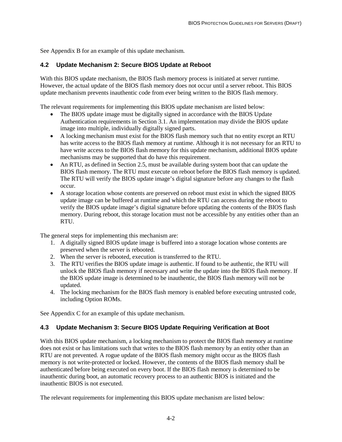See Appendix B for an example of this update mechanism.

#### **4.2 Update Mechanism 2: Secure BIOS Update at Reboot**

With this BIOS update mechanism, the BIOS flash memory process is initiated at server runtime. However, the actual update of the BIOS flash memory does not occur until a server reboot. This BIOS update mechanism prevents inauthentic code from ever being written to the BIOS flash memory.

The relevant requirements for implementing this BIOS update mechanism are listed below:

- The BIOS update image must be digitally signed in accordance with the BIOS Update Authentication requirements in Section 3.1. An implementation may divide the BIOS update image into multiple, individually digitally signed parts.
- A locking mechanism must exist for the BIOS flash memory such that no entity except an RTU has write access to the BIOS flash memory at runtime. Although it is not necessary for an RTU to have write access to the BIOS flash memory for this update mechanism, additional BIOS update mechanisms may be supported that do have this requirement.
- An RTU, as defined in Section 2.5, must be available during system boot that can update the BIOS flash memory. The RTU must execute on reboot before the BIOS flash memory is updated. The RTU will verify the BIOS update image's digital signature before any changes to the flash occur.
- A storage location whose contents are preserved on reboot must exist in which the signed BIOS update image can be buffered at runtime and which the RTU can access during the reboot to verify the BIOS update image's digital signature before updating the contents of the BIOS flash memory. During reboot, this storage location must not be accessible by any entities other than an RTU.

The general steps for implementing this mechanism are:

- 1. A digitally signed BIOS update image is buffered into a storage location whose contents are preserved when the server is rebooted.
- 2. When the server is rebooted, execution is transferred to the RTU.
- 3. The RTU verifies the BIOS update image is authentic. If found to be authentic, the RTU will unlock the BIOS flash memory if necessary and write the update into the BIOS flash memory. If the BIOS update image is determined to be inauthentic, the BIOS flash memory will not be updated.
- 4. The locking mechanism for the BIOS flash memory is enabled before executing untrusted code, including Option ROMs.

See Appendix C for an example of this update mechanism.

#### **4.3 Update Mechanism 3: Secure BIOS Update Requiring Verification at Boot**

With this BIOS update mechanism, a locking mechanism to protect the BIOS flash memory at runtime does not exist or has limitations such that writes to the BIOS flash memory by an entity other than an RTU are not prevented. A rogue update of the BIOS flash memory might occur as the BIOS flash memory is not write-protected or locked. However, the contents of the BIOS flash memory shall be authenticated before being executed on every boot. If the BIOS flash memory is determined to be inauthentic during boot, an automatic recovery process to an authentic BIOS is initiated and the inauthentic BIOS is not executed.

The relevant requirements for implementing this BIOS update mechanism are listed below: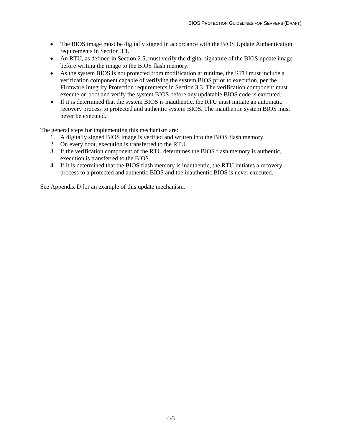- The BIOS image must be digitally signed in accordance with the BIOS Update Authentication requirements in Section 3.1.
- An RTU, as defined in Section 2.5, must verify the digital signature of the BIOS update image before writing the image to the BIOS flash memory.
- As the system BIOS is not protected from modification at runtime, the RTU must include a verification component capable of verifying the system BIOS prior to execution, per the Firmware Integrity Protection requirements in Section 3.3. The verification component must execute on boot and verify the system BIOS before any updatable BIOS code is executed.
- If it is determined that the system BIOS is inauthentic, the RTU must initiate an automatic recovery process to protected and authentic system BIOS. The inauthentic system BIOS must never be executed.

The general steps for implementing this mechanism are:

- 1. A digitally signed BIOS image is verified and written into the BIOS flash memory.
- 2. On every boot, execution is transferred to the RTU.
- 3. If the verification component of the RTU determines the BIOS flash memory is authentic, execution is transferred to the BIOS.
- 4. If it is determined that the BIOS flash memory is inauthentic, the RTU initiates a recovery process to a protected and authentic BIOS and the inauthentic BIOS is never executed.

See Appendix D for an example of this update mechanism.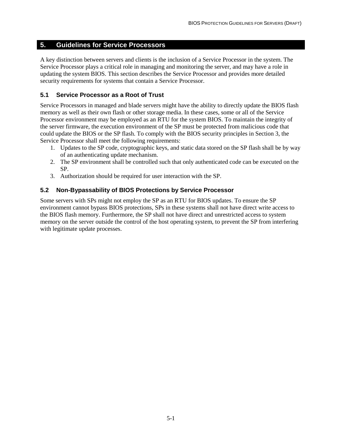#### **5. Guidelines for Service Processors**

A key distinction between servers and clients is the inclusion of a Service Processor in the system. The Service Processor plays a critical role in managing and monitoring the server, and may have a role in updating the system BIOS. This section describes the Service Processor and provides more detailed security requirements for systems that contain a Service Processor.

#### **5.1 Service Processor as a Root of Trust**

Service Processors in managed and blade servers might have the ability to directly update the BIOS flash memory as well as their own flash or other storage media. In these cases, some or all of the Service Processor environment may be employed as an RTU for the system BIOS. To maintain the integrity of the server firmware, the execution environment of the SP must be protected from malicious code that could update the BIOS or the SP flash. To comply with the BIOS security principles in Section 3, the Service Processor shall meet the following requirements:

- 1. Updates to the SP code, cryptographic keys, and static data stored on the SP flash shall be by way of an authenticating update mechanism.
- 2. The SP environment shall be controlled such that only authenticated code can be executed on the SP.
- 3. Authorization should be required for user interaction with the SP.

#### **5.2 Non-Bypassability of BIOS Protections by Service Processor**

Some servers with SPs might not employ the SP as an RTU for BIOS updates. To ensure the SP environment cannot bypass BIOS protections, SPs in these systems shall not have direct write access to the BIOS flash memory. Furthermore, the SP shall not have direct and unrestricted access to system memory on the server outside the control of the host operating system, to prevent the SP from interfering with legitimate update processes.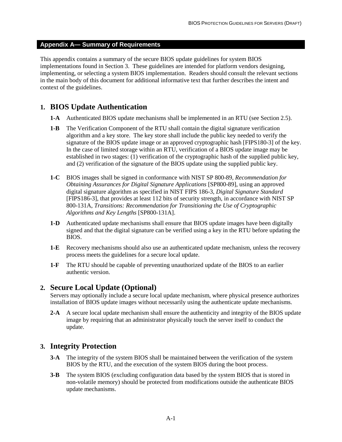#### **Appendix A— Summary of Requirements**

This appendix contains a summary of the secure BIOS update guidelines for system BIOS implementations found in Section 3. These guidelines are intended for platform vendors designing, implementing, or selecting a system BIOS implementation. Readers should consult the relevant sections in the main body of this document for additional informative text that further describes the intent and context of the guidelines.

#### **1. BIOS Update Authentication**

- **1-A** Authenticated BIOS update mechanisms shall be implemented in an RTU (see Section 2.5).
- **1-B** The Verification Component of the RTU shall contain the digital signature verification algorithm and a key store. The key store shall include the public key needed to verify the signature of the BIOS update image or an approved cryptographic hash [FIPS180-3] of the key. In the case of limited storage within an RTU, verification of a BIOS update image may be established in two stages: (1) verification of the cryptographic hash of the supplied public key, and (2) verification of the signature of the BIOS update using the supplied public key.
- **1-C** BIOS images shall be signed in conformance with NIST SP 800-89, *Recommendation for Obtaining Assurances for Digital Signature Applications* [SP800-89], using an approved digital signature algorithm as specified in NIST FIPS 186-3, *Digital Signature Standard*  [FIPS186-3], that provides at least 112 bits of security strength, in accordance with NIST SP 800-131A, *Transitions: Recommendation for Transitioning the Use of Cryptographic Algorithms and Key Lengths* [SP800-131A].
- **1-D** Authenticated update mechanisms shall ensure that BIOS update images have been digitally signed and that the digital signature can be verified using a key in the RTU before updating the BIOS.
- **1-E** Recovery mechanisms should also use an authenticated update mechanism, unless the recovery process meets the guidelines for a secure local update.
- **1-F** The RTU should be capable of preventing unauthorized update of the BIOS to an earlier authentic version.

#### **2. Secure Local Update (Optional)**

Servers may optionally include a secure local update mechanism, where physical presence authorizes installation of BIOS update images without necessarily using the authenticate update mechanisms.

**2-A** A secure local update mechanism shall ensure the authenticity and integrity of the BIOS update image by requiring that an administrator physically touch the server itself to conduct the update.

#### **3. Integrity Protection**

- **3-A** The integrity of the system BIOS shall be maintained between the verification of the system BIOS by the RTU, and the execution of the system BIOS during the boot process.
- **3-B** The system BIOS (excluding configuration data based by the system BIOS that is stored in non-volatile memory) should be protected from modifications outside the authenticate BIOS update mechanisms.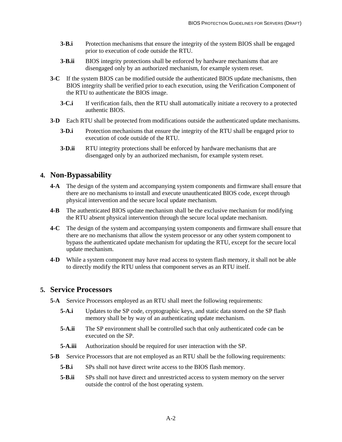- **3-B.i** Protection mechanisms that ensure the integrity of the system BIOS shall be engaged prior to execution of code outside the RTU.
- **3-B.ii** BIOS integrity protections shall be enforced by hardware mechanisms that are disengaged only by an authorized mechanism, for example system reset.
- **3-C** If the system BIOS can be modified outside the authenticated BIOS update mechanisms, then BIOS integrity shall be verified prior to each execution, using the Verification Component of the RTU to authenticate the BIOS image.
	- **3-C.i** If verification fails, then the RTU shall automatically initiate a recovery to a protected authentic BIOS.
- **3-D** Each RTU shall be protected from modifications outside the authenticated update mechanisms.
	- **3-D.i** Protection mechanisms that ensure the integrity of the RTU shall be engaged prior to execution of code outside of the RTU.
	- **3-D.ii** RTU integrity protections shall be enforced by hardware mechanisms that are disengaged only by an authorized mechanism, for example system reset.

#### **4. Non-Bypassability**

- **4-A** The design of the system and accompanying system components and firmware shall ensure that there are no mechanisms to install and execute unauthenticated BIOS code, except through physical intervention and the secure local update mechanism.
- **4-B** The authenticated BIOS update mechanism shall be the exclusive mechanism for modifying the RTU absent physical intervention through the secure local update mechanism.
- **4-C** The design of the system and accompanying system components and firmware shall ensure that there are no mechanisms that allow the system processor or any other system component to bypass the authenticated update mechanism for updating the RTU, except for the secure local update mechanism.
- **4-D** While a system component may have read access to system flash memory, it shall not be able to directly modify the RTU unless that component serves as an RTU itself.

#### **5. Service Processors**

- **5-A** Service Processors employed as an RTU shall meet the following requirements:
	- **5-A.i** Updates to the SP code, cryptographic keys, and static data stored on the SP flash memory shall be by way of an authenticating update mechanism.
	- **5-A.ii** The SP environment shall be controlled such that only authenticated code can be executed on the SP.
	- **5-A.iii** Authorization should be required for user interaction with the SP.
- **5-B** Service Processors that are not employed as an RTU shall be the following requirements:
	- **5-B.i** SPs shall not have direct write access to the BIOS flash memory.
	- **5-B.ii** SPs shall not have direct and unrestricted access to system memory on the server outside the control of the host operating system.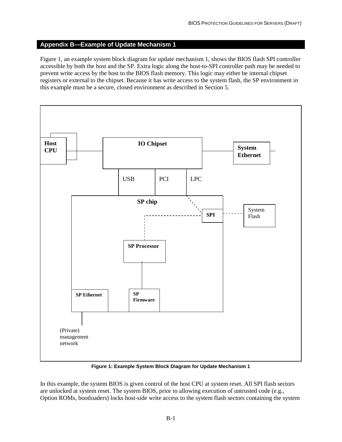#### **Appendix B—Example of Update Mechanism 1**

Figure 1, an example system block diagram for update mechanism 1, shows the BIOS flash SPI controller accessible by both the host and the SP. Extra logic along the host-to-SPI controller path may be needed to prevent write access by the host to the BIOS flash memory. This logic may either be internal chipset registers or external to the chipset. Because it has write access to the system flash, the SP environment in this example must be a secure, closed environment as described in Section 5.



**Figure 1: Example System Block Diagram for Update Mechanism 1**

In this example, the system BIOS is given control of the host CPU at system reset. All SPI flash sectors are unlocked at system reset. The system BIOS, prior to allowing execution of untrusted code (e.g., Option ROMs, bootloaders) locks host-side write access to the system flash sectors containing the system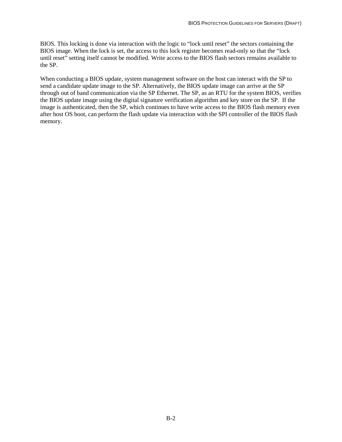BIOS. This locking is done via interaction with the logic to "lock until reset" the sectors containing the BIOS image. When the lock is set, the access to this lock register becomes read-only so that the "lock until reset" setting itself cannot be modified. Write access to the BIOS flash sectors remains available to the SP.

When conducting a BIOS update, system management software on the host can interact with the SP to send a candidate update image to the SP. Alternatively, the BIOS update image can arrive at the SP through out of band communication via the SP Ethernet. The SP, as an RTU for the system BIOS, verifies the BIOS update image using the digital signature verification algorithm and key store on the SP. If the image is authenticated, then the SP, which continues to have write access to the BIOS flash memory even after host OS boot, can perform the flash update via interaction with the SPI controller of the BIOS flash memory.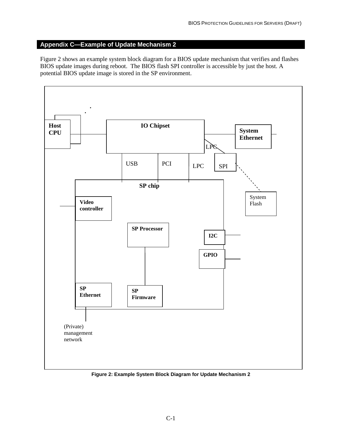#### **Appendix C—Example of Update Mechanism 2**

Figure 2 shows an example system block diagram for a BIOS update mechanism that verifies and flashes BIOS update images during reboot. The BIOS flash SPI controller is accessible by just the host. A potential BIOS update image is stored in the SP environment.



**Figure 2: Example System Block Diagram for Update Mechanism 2**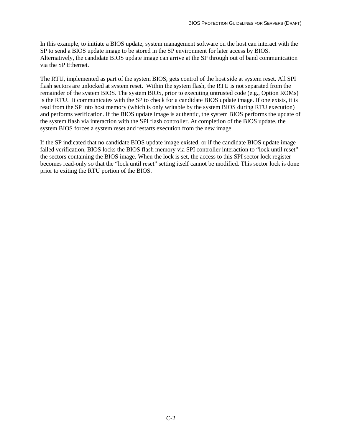In this example, to initiate a BIOS update, system management software on the host can interact with the SP to send a BIOS update image to be stored in the SP environment for later access by BIOS. Alternatively, the candidate BIOS update image can arrive at the SP through out of band communication via the SP Ethernet.

The RTU, implemented as part of the system BIOS, gets control of the host side at system reset. All SPI flash sectors are unlocked at system reset. Within the system flash, the RTU is not separated from the remainder of the system BIOS. The system BIOS, prior to executing untrusted code (e.g., Option ROMs) is the RTU. It communicates with the SP to check for a candidate BIOS update image. If one exists, it is read from the SP into host memory (which is only writable by the system BIOS during RTU execution) and performs verification. If the BIOS update image is authentic, the system BIOS performs the update of the system flash via interaction with the SPI flash controller. At completion of the BIOS update, the system BIOS forces a system reset and restarts execution from the new image.

If the SP indicated that no candidate BIOS update image existed, or if the candidate BIOS update image failed verification, BIOS locks the BIOS flash memory via SPI controller interaction to "lock until reset" the sectors containing the BIOS image. When the lock is set, the access to this SPI sector lock register becomes read-only so that the "lock until reset" setting itself cannot be modified. This sector lock is done prior to exiting the RTU portion of the BIOS.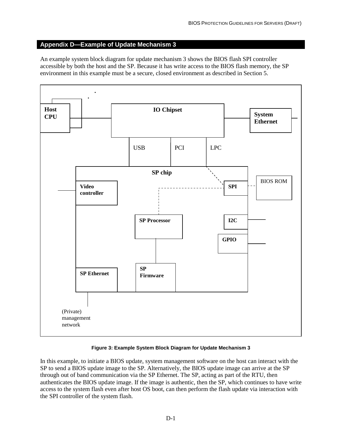#### **Appendix D—Example of Update Mechanism 3**

An example system block diagram for update mechanism 3 shows the BIOS flash SPI controller accessible by both the host and the SP. Because it has write access to the BIOS flash memory, the SP environment in this example must be a secure, closed environment as described in Section 5.



#### **Figure 3: Example System Block Diagram for Update Mechanism 3**

In this example, to initiate a BIOS update, system management software on the host can interact with the SP to send a BIOS update image to the SP. Alternatively, the BIOS update image can arrive at the SP through out of band communication via the SP Ethernet. The SP, acting as part of the RTU, then authenticates the BIOS update image. If the image is authentic, then the SP, which continues to have write access to the system flash even after host OS boot, can then perform the flash update via interaction with the SPI controller of the system flash.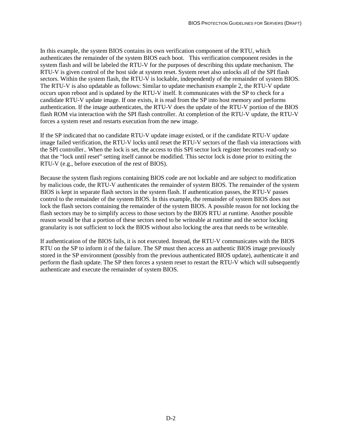In this example, the system BIOS contains its own verification component of the RTU, which authenticates the remainder of the system BIOS each boot. This verification component resides in the system flash and will be labeled the RTU-V for the purposes of describing this update mechanism. The RTU-V is given control of the host side at system reset. System reset also unlocks all of the SPI flash sectors. Within the system flash, the RTU-V is lockable, independently of the remainder of system BIOS. The RTU-V is also updatable as follows: Similar to update mechanism example 2, the RTU-V update occurs upon reboot and is updated by the RTU-V itself. It communicates with the SP to check for a candidate RTU-V update image. If one exists, it is read from the SP into host memory and performs authentication. If the image authenticates, the RTU-V does the update of the RTU-V portion of the BIOS flash ROM via interaction with the SPI flash controller. At completion of the RTU-V update, the RTU-V forces a system reset and restarts execution from the new image.

If the SP indicated that no candidate RTU-V update image existed, or if the candidate RTU-V update image failed verification, the RTU-V locks until reset the RTU-V sectors of the flash via interactions with the SPI controller.. When the lock is set, the access to this SPI sector lock register becomes read-only so that the "lock until reset" setting itself cannot be modified. This sector lock is done prior to exiting the RTU-V (e.g., before execution of the rest of BIOS).

Because the system flash regions containing BIOS code are not lockable and are subject to modification by malicious code, the RTU-V authenticates the remainder of system BIOS. The remainder of the system BIOS is kept in separate flash sectors in the system flash. If authentication passes, the RTU-V passes control to the remainder of the system BIOS. In this example, the remainder of system BIOS does not lock the flash sectors containing the remainder of the system BIOS. A possible reason for not locking the flash sectors may be to simplify access to those sectors by the BIOS RTU at runtime. Another possible reason would be that a portion of these sectors need to be writeable at runtime and the sector locking granularity is not sufficient to lock the BIOS without also locking the area that needs to be writeable.

If authentication of the BIOS fails, it is not executed. Instead, the RTU-V communicates with the BIOS RTU on the SP to inform it of the failure. The SP must then access an authentic BIOS image previously stored in the SP environment (possibly from the previous authenticated BIOS update), authenticate it and perform the flash update. The SP then forces a system reset to restart the RTU-V which will subsequently authenticate and execute the remainder of system BIOS.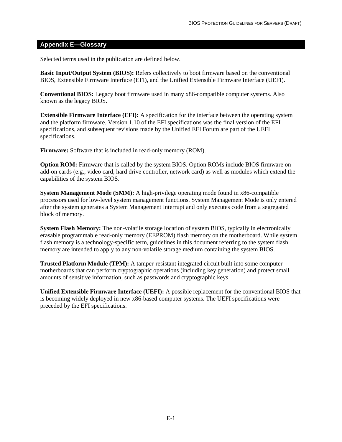#### **Appendix E—Glossary**

Selected terms used in the publication are defined below.

**Basic Input/Output System (BIOS):** Refers collectively to boot firmware based on the conventional BIOS, Extensible Firmware Interface (EFI), and the Unified Extensible Firmware Interface (UEFI).

**Conventional BIOS:** Legacy boot firmware used in many x86-compatible computer systems. Also known as the legacy BIOS.

**Extensible Firmware Interface (EFI):** A specification for the interface between the operating system and the platform firmware. Version 1.10 of the EFI specifications was the final version of the EFI specifications, and subsequent revisions made by the Unified EFI Forum are part of the UEFI specifications.

**Firmware:** Software that is included in read-only memory (ROM).

**Option ROM:** Firmware that is called by the system BIOS. Option ROMs include BIOS firmware on add-on cards (e.g., video card, hard drive controller, network card) as well as modules which extend the capabilities of the system BIOS.

**System Management Mode (SMM):** A high-privilege operating mode found in x86-compatible processors used for low-level system management functions. System Management Mode is only entered after the system generates a System Management Interrupt and only executes code from a segregated block of memory.

**System Flash Memory:** The non-volatile storage location of system BIOS, typically in electronically erasable programmable read-only memory (EEPROM) flash memory on the motherboard. While system flash memory is a technology-specific term, guidelines in this document referring to the system flash memory are intended to apply to any non-volatile storage medium containing the system BIOS.

**Trusted Platform Module (TPM):** A tamper-resistant integrated circuit built into some computer motherboards that can perform cryptographic operations (including key generation) and protect small amounts of sensitive information, such as passwords and cryptographic keys.

**Unified Extensible Firmware Interface (UEFI):** A possible replacement for the conventional BIOS that is becoming widely deployed in new x86-based computer systems. The UEFI specifications were preceded by the EFI specifications.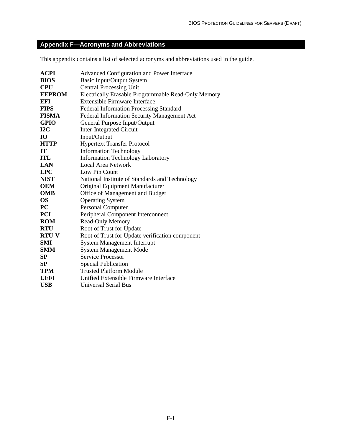# **Appendix F—Acronyms and Abbreviations**

This appendix contains a list of selected acronyms and abbreviations used in the guide.

| <b>ACPI</b>   | Advanced Configuration and Power Interface          |
|---------------|-----------------------------------------------------|
| <b>BIOS</b>   | <b>Basic Input/Output System</b>                    |
| <b>CPU</b>    | <b>Central Processing Unit</b>                      |
| <b>EEPROM</b> | Electrically Erasable Programmable Read-Only Memory |
| EFI           | <b>Extensible Firmware Interface</b>                |
| <b>FIPS</b>   | <b>Federal Information Processing Standard</b>      |
| <b>FISMA</b>  | Federal Information Security Management Act         |
| <b>GPIO</b>   | General Purpose Input/Output                        |
| I2C           | <b>Inter-Integrated Circuit</b>                     |
| 10            | Input/Output                                        |
| <b>HTTP</b>   | Hypertext Transfer Protocol                         |
| IT            | <b>Information Technology</b>                       |
| <b>ITL</b>    | <b>Information Technology Laboratory</b>            |
| <b>LAN</b>    | <b>Local Area Network</b>                           |
| <b>LPC</b>    | Low Pin Count                                       |
| <b>NIST</b>   | National Institute of Standards and Technology      |
| <b>OEM</b>    | Original Equipment Manufacturer                     |
| <b>OMB</b>    | Office of Management and Budget                     |
| <b>OS</b>     | <b>Operating System</b>                             |
| <b>PC</b>     | Personal Computer                                   |
| <b>PCI</b>    | Peripheral Component Interconnect                   |
| <b>ROM</b>    | <b>Read-Only Memory</b>                             |
| <b>RTU</b>    | Root of Trust for Update                            |
| <b>RTU-V</b>  | Root of Trust for Update verification component     |
| SMI           | <b>System Management Interrupt</b>                  |
| <b>SMM</b>    | <b>System Management Mode</b>                       |
| SP            | <b>Service Processor</b>                            |
| SP            | <b>Special Publication</b>                          |
| TPM           | <b>Trusted Platform Module</b>                      |
| UEFI          | Unified Extensible Firmware Interface               |
| <b>USB</b>    | Universal Serial Bus                                |
|               |                                                     |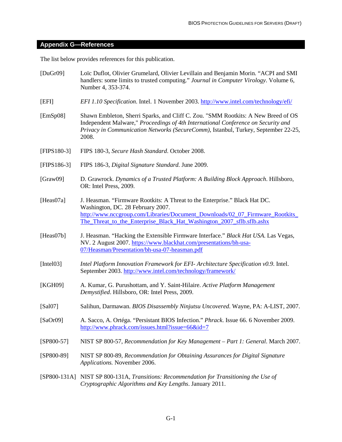#### **Appendix G—References**

The list below provides references for this publication.

- [DuGr09] Loïc Duflot, Olivier Grumelard, Olivier Levillain and Benjamin Morin. "ACPI and SMI handlers: some limits to trusted computing." *Journal in Computer Virology*. Volume 6, Number 4, 353-374. [EFI] *EFI 1.10 Specification*. Intel. 1 November 2003.<http://www.intel.com/technology/efi/> [EmSp08] Shawn Embleton, Sherri Sparks, and Cliff C. Zou. "SMM Rootkits: A New Breed of OS Independent Malware," *Proceedings of 4th International Conference on Security and Privacy in Communication Networks (SecureComm)*, Istanbul, Turkey, September 22-25, 2008. [FIPS180-3] FIPS 180-3, *Secure Hash Standard*. October 2008. [FIPS186-3] FIPS 186-3, *Digital Signature Standard.* June 2009. [Graw09] D. Grawrock. *Dynamics of a Trusted Platform: A Building Block Approach*. Hillsboro, OR: Intel Press, 2009. [Heas07a] J. Heasman. "Firmware Rootkits: A Threat to the Enterprise." Black Hat DC. Washington, DC. 28 February 2007. [http://www.nccgroup.com/Libraries/Document\\_Downloads/02\\_07\\_Firmware\\_Rootkits\\_](http://www.nccgroup.com/Libraries/Document_Downloads/02_07_Firmware_Rootkits_The_Threat_to_the_Enterprise_Black_Hat_Washington_2007_sflb.sflb.ashx) The Threat to the Enterprise Black Hat Washington 2007 sflb.sflb.ashx [Heas07b] J. Heasman. "Hacking the Extensible Firmware Interface." *Black Hat USA*. Las Vegas, NV. 2 August 2007. [https://www.blackhat.com/presentations/bh-usa-](https://www.blackhat.com/presentations/bh-usa-07/Heasman/Presentation/bh-usa-07-heasman.pdf)[07/Heasman/Presentation/bh-usa-07-heasman.pdf](https://www.blackhat.com/presentations/bh-usa-07/Heasman/Presentation/bh-usa-07-heasman.pdf) [Intel03] *Intel Platform Innovation Framework for EFI- Architecture Specification v0.9*. Intel. September 2003.<http://www.intel.com/technology/framework/> [KGH09] A. Kumar, G. Purushottam, and Y. Saint-Hilaire. *Active Platform Management Demystified*. Hillsboro, OR: Intel Press, 2009. [Sal07] Salihun, Darmawan. *BIOS Disassembly Ninjutsu Uncovered*. Wayne, PA: A-LIST, 2007. [SaOr09] A. Sacco, A. Ortéga. "Persistant BIOS Infection." *Phrack*. Issue 66. 6 November 2009. <http://www.phrack.com/issues.html?issue=66&id=7> [SP800-57] NIST SP 800-57, *Recommendation for Key Management – Part 1: General*. March 2007. [SP800-89] NIST SP 800-89, *Recommendation for Obtaining Assurances for Digital Signature Applications.* November 2006. [SP800-131A] NIST SP 800-131A, *Transitions: Recommendation for Transitioning the Use of* 
	- *Cryptographic Algorithms and Key Lengths*. January 2011.